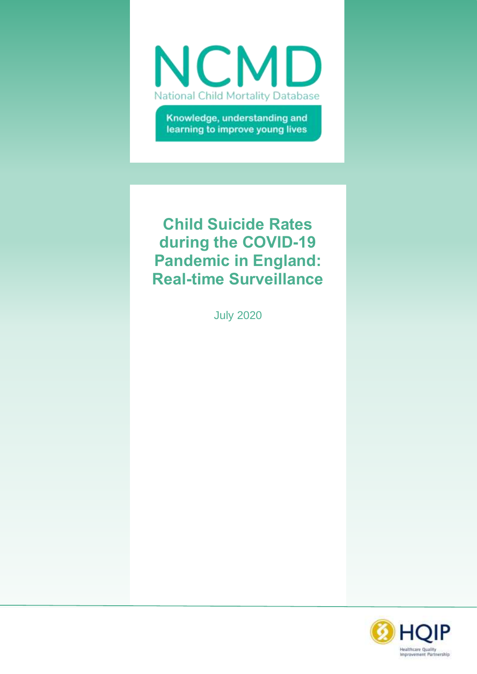

Knowledge, understanding and learning to improve young lives

# **Child Suicide Rates during the COVID-19 Pandemic in England: Real-time Surveillance**

July 2020

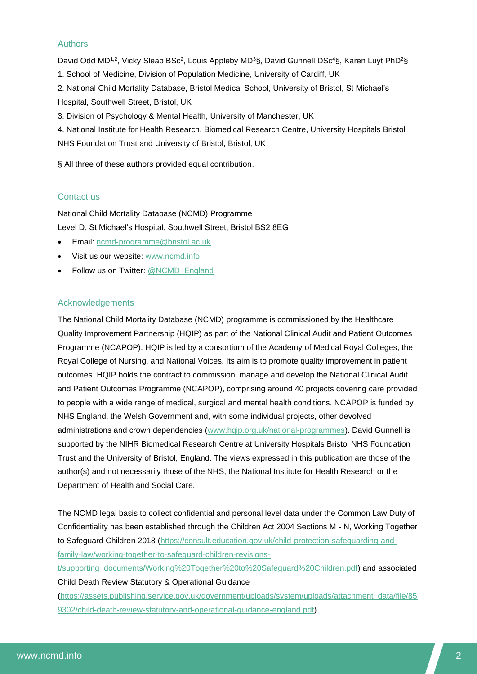#### Authors

David Odd MD<sup>1,2</sup>, Vicky Sleap BSc<sup>2</sup>, Louis Appleby MD<sup>3</sup>§, David Gunnell DSc<sup>4</sup>§, Karen Luyt PhD<sup>2</sup>§ 1. School of Medicine, Division of Population Medicine, University of Cardiff, UK 2. National Child Mortality Database, Bristol Medical School, University of Bristol, St Michael's Hospital, Southwell Street, Bristol, UK 3. Division of Psychology & Mental Health, University of Manchester, UK 4. National Institute for Health Research, Biomedical Research Centre, University Hospitals Bristol NHS Foundation Trust and University of Bristol, Bristol, UK

§ All three of these authors provided equal contribution.

#### Contact us

National Child Mortality Database (NCMD) Programme Level D, St Michael's Hospital, Southwell Street, Bristol BS2 8EG

- Email: [ncmd-programme@bristol.ac.uk](mailto:ncmd-programme@bristol.ac.uk)
- Visit us our website: [www.ncmd.info](http://www.ncmd.info/)
- Follow us on Twitter: [@NCMD\\_England](https://twitter.com/ncmd_england)

#### Acknowledgements

The National Child Mortality Database (NCMD) programme is commissioned by the Healthcare Quality Improvement Partnership (HQIP) as part of the National Clinical Audit and Patient Outcomes Programme (NCAPOP). HQIP is led by a consortium of the Academy of Medical Royal Colleges, the Royal College of Nursing, and National Voices. Its aim is to promote quality improvement in patient outcomes. HQIP holds the contract to commission, manage and develop the National Clinical Audit and Patient Outcomes Programme (NCAPOP), comprising around 40 projects covering care provided to people with a wide range of medical, surgical and mental health conditions. NCAPOP is funded by NHS England, the Welsh Government and, with some individual projects, other devolved administrations and crown dependencies [\(www.hqip.org.uk/national-programmes\)](http://www.hqip.org.uk/national-programmes). David Gunnell is supported by the NIHR Biomedical Research Centre at University Hospitals Bristol NHS Foundation Trust and the University of Bristol, England. The views expressed in this publication are those of the author(s) and not necessarily those of the NHS, the National Institute for Health Research or the Department of Health and Social Care.

The NCMD legal basis to collect confidential and personal level data under the Common Law Duty of Confidentiality has been established through the Children Act 2004 Sections M - N, Working Together to Safeguard Children 2018 [\(https://consult.education.gov.uk/child-protection-safeguarding-and](https://consult.education.gov.uk/child-protection-safeguarding-and-family-law/working-together-to-safeguard-children-revisions-t/supporting_documents/Working%20Together%20to%20Safeguard%20Children.pdf)[family-law/working-together-to-safeguard-children-revisions-](https://consult.education.gov.uk/child-protection-safeguarding-and-family-law/working-together-to-safeguard-children-revisions-t/supporting_documents/Working%20Together%20to%20Safeguard%20Children.pdf)

[t/supporting\\_documents/Working%20Together%20to%20Safeguard%20Children.pdf\)](https://consult.education.gov.uk/child-protection-safeguarding-and-family-law/working-together-to-safeguard-children-revisions-t/supporting_documents/Working%20Together%20to%20Safeguard%20Children.pdf) and associated Child Death Review Statutory & Operational Guidance

[\(https://assets.publishing.service.gov.uk/government/uploads/system/uploads/attachment\\_data/file/85](https://assets.publishing.service.gov.uk/government/uploads/system/uploads/attachment_data/file/859302/child-death-review-statutory-and-operational-guidance-england.pdf) [9302/child-death-review-statutory-and-operational-guidance-england.pdf\)](https://assets.publishing.service.gov.uk/government/uploads/system/uploads/attachment_data/file/859302/child-death-review-statutory-and-operational-guidance-england.pdf).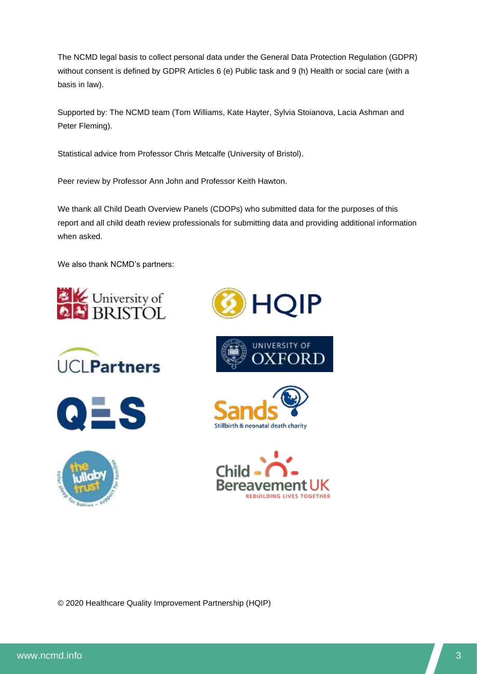The NCMD legal basis to collect personal data under the General Data Protection Regulation (GDPR) without consent is defined by GDPR Articles 6 (e) Public task and 9 (h) Health or social care (with a basis in law).

Supported by: The NCMD team (Tom Williams, Kate Hayter, Sylvia Stoianova, Lacia Ashman and Peter Fleming).

Statistical advice from Professor Chris Metcalfe (University of Bristol).

Peer review by Professor Ann John and Professor Keith Hawton.

We thank all Child Death Overview Panels (CDOPs) who submitted data for the purposes of this report and all child death review professionals for submitting data and providing additional information when asked.

We also thank NCMD's partners:

















© 2020 Healthcare Quality Improvement Partnership (HQIP)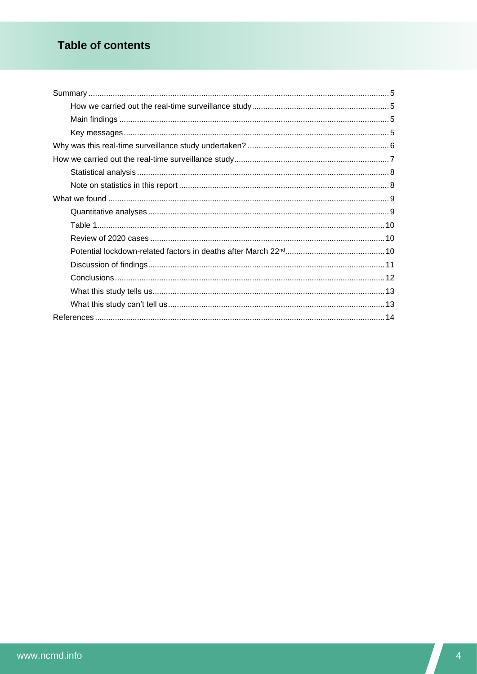# **Table of contents**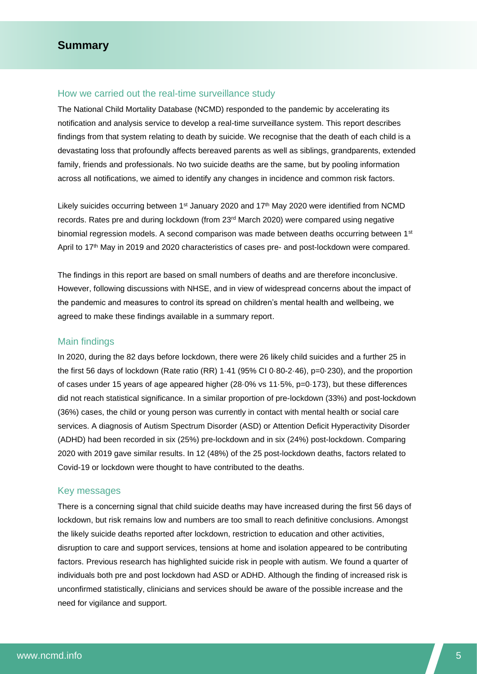#### <span id="page-4-1"></span><span id="page-4-0"></span>How we carried out the real-time surveillance study

The National Child Mortality Database (NCMD) responded to the pandemic by accelerating its notification and analysis service to develop a real-time surveillance system. This report describes findings from that system relating to death by suicide. We recognise that the death of each child is a devastating loss that profoundly affects bereaved parents as well as siblings, grandparents, extended family, friends and professionals. No two suicide deaths are the same, but by pooling information across all notifications, we aimed to identify any changes in incidence and common risk factors.

Likely suicides occurring between 1<sup>st</sup> January 2020 and 17<sup>th</sup> May 2020 were identified from NCMD records. Rates pre and during lockdown (from 23rd March 2020) were compared using negative binomial regression models. A second comparison was made between deaths occurring between 1<sup>st</sup> April to 17<sup>th</sup> May in 2019 and 2020 characteristics of cases pre- and post-lockdown were compared.

The findings in this report are based on small numbers of deaths and are therefore inconclusive. However, following discussions with NHSE, and in view of widespread concerns about the impact of the pandemic and measures to control its spread on children's mental health and wellbeing, we agreed to make these findings available in a summary report.

#### <span id="page-4-2"></span>Main findings

In 2020, during the 82 days before lockdown, there were 26 likely child suicides and a further 25 in the first 56 days of lockdown (Rate ratio (RR) 1·41 (95% CI 0·80-2·46), p=0·230), and the proportion of cases under 15 years of age appeared higher (28·0% vs 11·5%, p=0·173), but these differences did not reach statistical significance. In a similar proportion of pre-lockdown (33%) and post-lockdown (36%) cases, the child or young person was currently in contact with mental health or social care services. A diagnosis of Autism Spectrum Disorder (ASD) or Attention Deficit Hyperactivity Disorder (ADHD) had been recorded in six (25%) pre-lockdown and in six (24%) post-lockdown. Comparing 2020 with 2019 gave similar results. In 12 (48%) of the 25 post-lockdown deaths, factors related to Covid-19 or lockdown were thought to have contributed to the deaths.

#### <span id="page-4-3"></span>Key messages

There is a concerning signal that child suicide deaths may have increased during the first 56 days of lockdown, but risk remains low and numbers are too small to reach definitive conclusions. Amongst the likely suicide deaths reported after lockdown, restriction to education and other activities, disruption to care and support services, tensions at home and isolation appeared to be contributing factors. Previous research has highlighted suicide risk in people with autism. We found a quarter of individuals both pre and post lockdown had ASD or ADHD. Although the finding of increased risk is unconfirmed statistically, clinicians and services should be aware of the possible increase and the need for vigilance and support.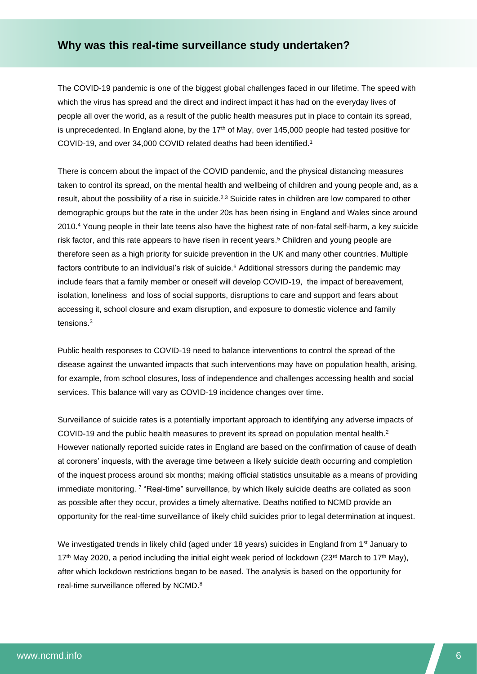# <span id="page-5-0"></span>**Why was this real-time surveillance study undertaken?**

The COVID-19 pandemic is one of the biggest global challenges faced in our lifetime. The speed with which the virus has spread and the direct and indirect impact it has had on the everyday lives of people all over the world, as a result of the public health measures put in place to contain its spread, is unprecedented. In England alone, by the  $17<sup>th</sup>$  of May, over 145,000 people had tested positive for COVID-19, and over 34,000 COVID related deaths had been identified.<sup>1</sup>

There is concern about the impact of the COVID pandemic, and the physical distancing measures taken to control its spread, on the mental health and wellbeing of children and young people and, as a result, about the possibility of a rise in suicide.<sup>2,3</sup> Suicide rates in children are low compared to other demographic groups but the rate in the under 20s has been rising in England and Wales since around 2010.<sup>4</sup> Young people in their late teens also have the highest rate of non-fatal self-harm, a key suicide risk factor, and this rate appears to have risen in recent years. <sup>5</sup> Children and young people are therefore seen as a high priority for suicide prevention in the UK and many other countries. Multiple factors contribute to an individual's risk of suicide.<sup>6</sup> Additional stressors during the pandemic may include fears that a family member or oneself will develop COVID-19, the impact of bereavement, isolation, loneliness and loss of social supports, disruptions to care and support and fears about accessing it, school closure and exam disruption, and exposure to domestic violence and family tensions. 3

Public health responses to COVID-19 need to balance interventions to control the spread of the disease against the unwanted impacts that such interventions may have on population health, arising, for example, from school closures, loss of independence and challenges accessing health and social services. This balance will vary as COVID-19 incidence changes over time.

Surveillance of suicide rates is a potentially important approach to identifying any adverse impacts of COVID-19 and the public health measures to prevent its spread on population mental health. 2 However nationally reported suicide rates in England are based on the confirmation of cause of death at coroners' inquests, with the average time between a likely suicide death occurring and completion of the inquest process around six months; making official statistics unsuitable as a means of providing immediate monitoring. <sup>7</sup> "Real-time" surveillance, by which likely suicide deaths are collated as soon as possible after they occur, provides a timely alternative. Deaths notified to NCMD provide an opportunity for the real-time surveillance of likely child suicides prior to legal determination at inquest.

We investigated trends in likely child (aged under 18 years) suicides in England from 1<sup>st</sup> January to 17<sup>th</sup> May 2020, a period including the initial eight week period of lockdown (23<sup>rd</sup> March to 17<sup>th</sup> May), after which lockdown restrictions began to be eased. The analysis is based on the opportunity for real-time surveillance offered by NCMD. 8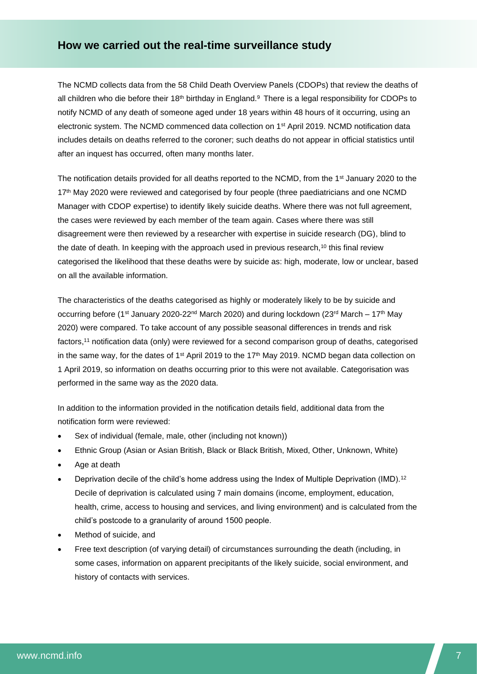# <span id="page-6-0"></span>**How we carried out the real-time surveillance study**

The NCMD collects data from the 58 Child Death Overview Panels (CDOPs) that review the deaths of all children who die before their 18<sup>th</sup> birthday in England.<sup>9</sup> There is a legal responsibility for CDOPs to notify NCMD of any death of someone aged under 18 years within 48 hours of it occurring, using an electronic system. The NCMD commenced data collection on 1st April 2019. NCMD notification data includes details on deaths referred to the coroner; such deaths do not appear in official statistics until after an inquest has occurred, often many months later.

The notification details provided for all deaths reported to the NCMD, from the 1<sup>st</sup> January 2020 to the 17<sup>th</sup> May 2020 were reviewed and categorised by four people (three paediatricians and one NCMD Manager with CDOP expertise) to identify likely suicide deaths. Where there was not full agreement, the cases were reviewed by each member of the team again. Cases where there was still disagreement were then reviewed by a researcher with expertise in suicide research (DG), blind to the date of death. In keeping with the approach used in previous research,<sup>10</sup> this final review categorised the likelihood that these deaths were by suicide as: high, moderate, low or unclear, based on all the available information.

The characteristics of the deaths categorised as highly or moderately likely to be by suicide and occurring before (1<sup>st</sup> January 2020-22<sup>nd</sup> March 2020) and during lockdown (23<sup>rd</sup> March – 17<sup>th</sup> May 2020) were compared. To take account of any possible seasonal differences in trends and risk factors,<sup>11</sup> notification data (only) were reviewed for a second comparison group of deaths, categorised in the same way, for the dates of 1<sup>st</sup> April 2019 to the 17<sup>th</sup> May 2019. NCMD began data collection on 1 April 2019, so information on deaths occurring prior to this were not available. Categorisation was performed in the same way as the 2020 data.

In addition to the information provided in the notification details field, additional data from the notification form were reviewed:

- Sex of individual (female, male, other (including not known))
- Ethnic Group (Asian or Asian British, Black or Black British, Mixed, Other, Unknown, White)
- Age at death
- Deprivation decile of the child's home address using the Index of Multiple Deprivation (IMD).<sup>12</sup> Decile of deprivation is calculated using 7 main domains (income, employment, education, health, crime, access to housing and services, and living environment) and is calculated from the child's postcode to a granularity of around 1500 people.
- Method of suicide, and
- Free text description (of varying detail) of circumstances surrounding the death (including, in some cases, information on apparent precipitants of the likely suicide, social environment, and history of contacts with services.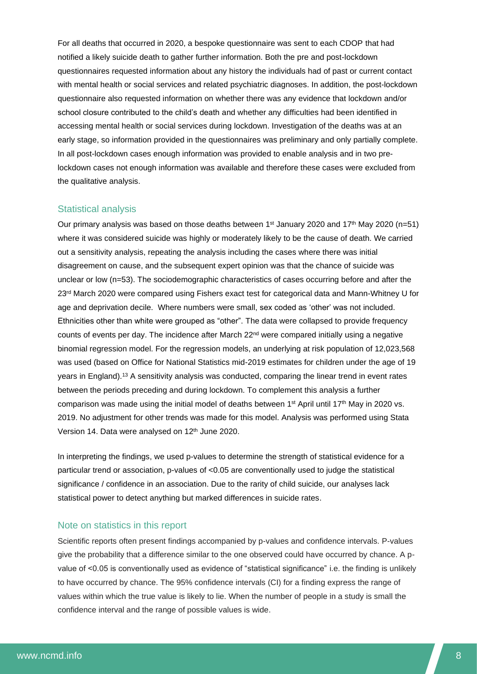For all deaths that occurred in 2020, a bespoke questionnaire was sent to each CDOP that had notified a likely suicide death to gather further information. Both the pre and post-lockdown questionnaires requested information about any history the individuals had of past or current contact with mental health or social services and related psychiatric diagnoses. In addition, the post-lockdown questionnaire also requested information on whether there was any evidence that lockdown and/or school closure contributed to the child's death and whether any difficulties had been identified in accessing mental health or social services during lockdown. Investigation of the deaths was at an early stage, so information provided in the questionnaires was preliminary and only partially complete. In all post-lockdown cases enough information was provided to enable analysis and in two prelockdown cases not enough information was available and therefore these cases were excluded from the qualitative analysis.

#### <span id="page-7-0"></span>Statistical analysis

Our primary analysis was based on those deaths between 1<sup>st</sup> January 2020 and 17<sup>th</sup> May 2020 (n=51) where it was considered suicide was highly or moderately likely to be the cause of death. We carried out a sensitivity analysis, repeating the analysis including the cases where there was initial disagreement on cause, and the subsequent expert opinion was that the chance of suicide was unclear or low (n=53). The sociodemographic characteristics of cases occurring before and after the 23<sup>rd</sup> March 2020 were compared using Fishers exact test for categorical data and Mann-Whitney U for age and deprivation decile. Where numbers were small, sex coded as 'other' was not included. Ethnicities other than white were grouped as "other". The data were collapsed to provide frequency counts of events per day. The incidence after March  $22<sup>nd</sup>$  were compared initially using a negative binomial regression model. For the regression models, an underlying at risk population of 12,023,568 was used (based on Office for National Statistics mid-2019 estimates for children under the age of 19 years in England).<sup>13</sup> A sensitivity analysis was conducted, comparing the linear trend in event rates between the periods preceding and during lockdown. To complement this analysis a further comparison was made using the initial model of deaths between  $1<sup>st</sup>$  April until 17<sup>th</sup> May in 2020 vs. 2019. No adjustment for other trends was made for this model. Analysis was performed using Stata Version 14. Data were analysed on 12<sup>th</sup> June 2020.

In interpreting the findings, we used p-values to determine the strength of statistical evidence for a particular trend or association, p-values of <0.05 are conventionally used to judge the statistical significance / confidence in an association. Due to the rarity of child suicide, our analyses lack statistical power to detect anything but marked differences in suicide rates.

#### <span id="page-7-1"></span>Note on statistics in this report

Scientific reports often present findings accompanied by p-values and confidence intervals. P-values give the probability that a difference similar to the one observed could have occurred by chance. A pvalue of <0.05 is conventionally used as evidence of "statistical significance" i.e. the finding is unlikely to have occurred by chance. The 95% confidence intervals (CI) for a finding express the range of values within which the true value is likely to lie. When the number of people in a study is small the confidence interval and the range of possible values is wide.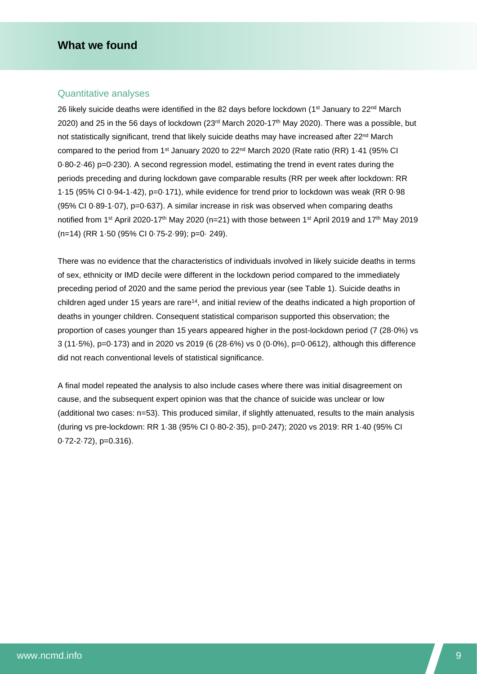## <span id="page-8-0"></span>**What we found**

#### <span id="page-8-1"></span>Quantitative analyses

26 likely suicide deaths were identified in the 82 days before lockdown (1<sup>st</sup> January to 22<sup>nd</sup> March 2020) and 25 in the 56 days of lockdown  $(23<sup>rd</sup>$  March 2020-17<sup>th</sup> May 2020). There was a possible, but not statistically significant, trend that likely suicide deaths may have increased after 22<sup>nd</sup> March compared to the period from 1<sup>st</sup> January 2020 to 22<sup>nd</sup> March 2020 (Rate ratio (RR) 1.41 (95% CI 0·80-2·46) p=0·230). A second regression model, estimating the trend in event rates during the periods preceding and during lockdown gave comparable results (RR per week after lockdown: RR 1·15 (95% CI 0·94-1·42), p=0·171), while evidence for trend prior to lockdown was weak (RR 0·98 (95% CI 0·89-1·07), p=0·637). A similar increase in risk was observed when comparing deaths notified from 1<sup>st</sup> April 2020-17<sup>th</sup> May 2020 (n=21) with those between 1<sup>st</sup> April 2019 and 17<sup>th</sup> May 2019 (n=14) (RR 1·50 (95% CI 0·75-2·99); p=0· 249).

There was no evidence that the characteristics of individuals involved in likely suicide deaths in terms of sex, ethnicity or IMD decile were different in the lockdown period compared to the immediately preceding period of 2020 and the same period the previous year (see Table 1). Suicide deaths in children aged under 15 years are rare<sup>14</sup>, and initial review of the deaths indicated a high proportion of deaths in younger children. Consequent statistical comparison supported this observation; the proportion of cases younger than 15 years appeared higher in the post-lockdown period (7 (28·0%) vs 3 (11·5%), p=0·173) and in 2020 vs 2019 (6 (28·6%) vs 0 (0·0%), p=0·0612), although this difference did not reach conventional levels of statistical significance.

A final model repeated the analysis to also include cases where there was initial disagreement on cause, and the subsequent expert opinion was that the chance of suicide was unclear or low (additional two cases: n=53). This produced similar, if slightly attenuated, results to the main analysis (during vs pre-lockdown: RR 1·38 (95% CI 0·80-2·35), p=0·247); 2020 vs 2019: RR 1·40 (95% CI 0·72-2·72), p=0.316).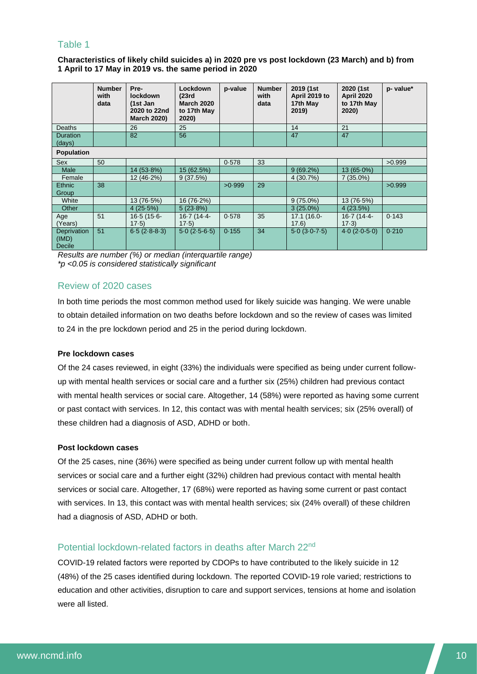## <span id="page-9-0"></span>Table 1

**Characteristics of likely child suicides a) in 2020 pre vs post lockdown (23 March) and b) from 1 April to 17 May in 2019 vs. the same period in 2020**

|                                       | <b>Number</b><br>with<br>data | Pre-<br><b>lockdown</b><br>(1st Jan<br>2020 to 22nd<br><b>March 2020)</b> | Lockdown<br>(23rd)<br><b>March 2020</b><br>to 17th May<br>2020) | p-value | <b>Number</b><br>with<br>data | 2019 (1st<br>April 2019 to<br>17th May<br>2019) | 2020 (1st<br><b>April 2020</b><br>to 17th May<br>2020) | p- value* |  |  |
|---------------------------------------|-------------------------------|---------------------------------------------------------------------------|-----------------------------------------------------------------|---------|-------------------------------|-------------------------------------------------|--------------------------------------------------------|-----------|--|--|
| Deaths                                |                               | 26                                                                        | 25                                                              |         |                               | 14                                              | 21                                                     |           |  |  |
| <b>Duration</b><br>(days)             |                               | 82                                                                        | 56                                                              |         |                               | 47                                              | 47                                                     |           |  |  |
| <b>Population</b>                     |                               |                                                                           |                                                                 |         |                               |                                                 |                                                        |           |  |  |
| Sex                                   | 50                            |                                                                           |                                                                 | 0.578   | 33                            |                                                 |                                                        | >0.999    |  |  |
| <b>Male</b>                           |                               | $14(53.8\%)$                                                              | 15 (62.5%)                                                      |         |                               | $9(69.2\%)$                                     | $13(65.0\%)$                                           |           |  |  |
| Female                                |                               | $12(46.2\%)$                                                              | 9(37.5%)                                                        |         |                               | 4(30.7%)                                        | $7(35.0\%)$                                            |           |  |  |
| Ethnic<br>Group                       | 38                            |                                                                           |                                                                 | >0.999  | 29                            |                                                 |                                                        | >0.999    |  |  |
| White                                 |                               | 13 (76.5%)                                                                | 16 (76.2%)                                                      |         |                               | $9(75.0\%)$                                     | 13 (76.5%)                                             |           |  |  |
| Other                                 |                               | 4(25.5%)                                                                  | $5(23.8\%)$                                                     |         |                               | $3(25.0\%)$                                     | 4(23.5%)                                               |           |  |  |
| Age<br>(Years)                        | 51                            | $16-5(15-6-$<br>17.5)                                                     | $16.7(14.4 -$<br>17.5)                                          | 0.578   | 35                            | 17.1 (16.0-<br>17.6)                            | 16-7 (14-4-<br>$17-3)$                                 | 0.143     |  |  |
| Deprivation<br>(IMD)<br><b>Decile</b> | 51                            | $6.5(2.8-8.3)$                                                            | $5.0(2.5-6.5)$                                                  | 0.155   | 34                            | $5.0(3.0-7.5)$                                  | $4.0(2.0-5.0)$                                         | 0.210     |  |  |

*Results are number (%) or median (interquartile range) \*p <0.05 is considered statistically significant*

## <span id="page-9-1"></span>Review of 2020 cases

In both time periods the most common method used for likely suicide was hanging. We were unable to obtain detailed information on two deaths before lockdown and so the review of cases was limited to 24 in the pre lockdown period and 25 in the period during lockdown.

#### **Pre lockdown cases**

Of the 24 cases reviewed, in eight (33%) the individuals were specified as being under current followup with mental health services or social care and a further six (25%) children had previous contact with mental health services or social care. Altogether, 14 (58%) were reported as having some current or past contact with services. In 12, this contact was with mental health services; six (25% overall) of these children had a diagnosis of ASD, ADHD or both.

#### **Post lockdown cases**

Of the 25 cases, nine (36%) were specified as being under current follow up with mental health services or social care and a further eight (32%) children had previous contact with mental health services or social care. Altogether, 17 (68%) were reported as having some current or past contact with services. In 13, this contact was with mental health services; six (24% overall) of these children had a diagnosis of ASD, ADHD or both.

# <span id="page-9-2"></span>Potential lockdown-related factors in deaths after March 22nd

COVID-19 related factors were reported by CDOPs to have contributed to the likely suicide in 12 (48%) of the 25 cases identified during lockdown. The reported COVID-19 role varied; restrictions to education and other activities, disruption to care and support services, tensions at home and isolation were all listed.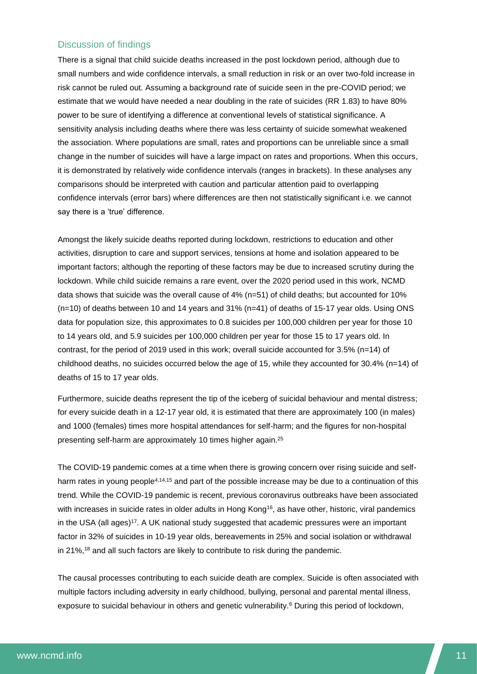## <span id="page-10-0"></span>Discussion of findings

There is a signal that child suicide deaths increased in the post lockdown period, although due to small numbers and wide confidence intervals, a small reduction in risk or an over two-fold increase in risk cannot be ruled out. Assuming a background rate of suicide seen in the pre-COVID period; we estimate that we would have needed a near doubling in the rate of suicides (RR 1.83) to have 80% power to be sure of identifying a difference at conventional levels of statistical significance. A sensitivity analysis including deaths where there was less certainty of suicide somewhat weakened the association. Where populations are small, rates and proportions can be unreliable since a small change in the number of suicides will have a large impact on rates and proportions. When this occurs, it is demonstrated by relatively wide confidence intervals (ranges in brackets). In these analyses any comparisons should be interpreted with caution and particular attention paid to overlapping confidence intervals (error bars) where differences are then not statistically significant i.e. we cannot say there is a 'true' difference.

Amongst the likely suicide deaths reported during lockdown, restrictions to education and other activities, disruption to care and support services, tensions at home and isolation appeared to be important factors; although the reporting of these factors may be due to increased scrutiny during the lockdown. While child suicide remains a rare event, over the 2020 period used in this work, NCMD data shows that suicide was the overall cause of 4% (n=51) of child deaths; but accounted for 10% (n=10) of deaths between 10 and 14 years and 31% (n=41) of deaths of 15-17 year olds. Using ONS data for population size, this approximates to 0.8 suicides per 100,000 children per year for those 10 to 14 years old, and 5.9 suicides per 100,000 children per year for those 15 to 17 years old. In contrast, for the period of 2019 used in this work; overall suicide accounted for 3.5% (n=14) of childhood deaths, no suicides occurred below the age of 15, while they accounted for 30.4% (n=14) of deaths of 15 to 17 year olds.

Furthermore, suicide deaths represent the tip of the iceberg of suicidal behaviour and mental distress; for every suicide death in a 12-17 year old, it is estimated that there are approximately 100 (in males) and 1000 (females) times more hospital attendances for self-harm; and the figures for non-hospital presenting self-harm are approximately 10 times higher again.<sup>25</sup>

The COVID-19 pandemic comes at a time when there is growing concern over rising suicide and selfharm rates in young people<sup>4,14,15</sup> and part of the possible increase may be due to a continuation of this trend. While the COVID-19 pandemic is recent, previous coronavirus outbreaks have been associated with increases in suicide rates in older adults in Hong Kong<sup>16</sup>, as have other, historic, viral pandemics in the USA (all ages)<sup>17</sup>. A UK national study suggested that academic pressures were an important factor in 32% of suicides in 10-19 year olds, bereavements in 25% and social isolation or withdrawal in 21%,<sup>18</sup> and all such factors are likely to contribute to risk during the pandemic.

The causal processes contributing to each suicide death are complex. Suicide is often associated with multiple factors including adversity in early childhood, bullying, personal and parental mental illness, exposure to suicidal behaviour in others and genetic vulnerability.<sup>6</sup> During this period of lockdown,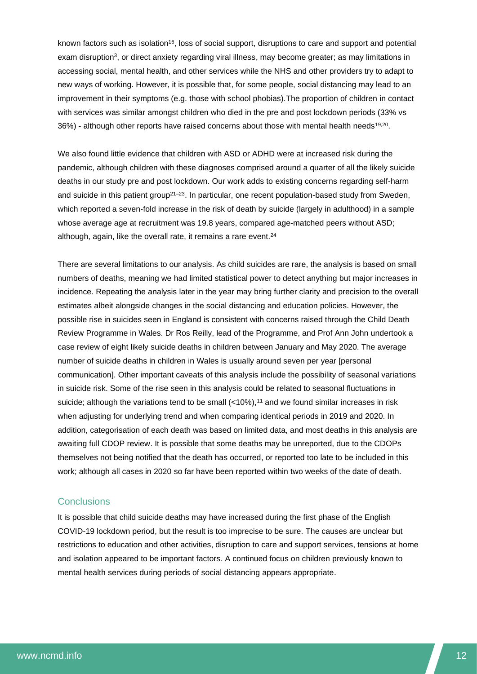known factors such as isolation<sup>16</sup>, loss of social support, disruptions to care and support and potential exam disruption<sup>3</sup>, or direct anxiety regarding viral illness, may become greater; as may limitations in accessing social, mental health, and other services while the NHS and other providers try to adapt to new ways of working. However, it is possible that, for some people, social distancing may lead to an improvement in their symptoms (e.g. those with school phobias).The proportion of children in contact with services was similar amongst children who died in the pre and post lockdown periods (33% vs 36%) - although other reports have raised concerns about those with mental health needs<sup>19,20</sup>.

We also found little evidence that children with ASD or ADHD were at increased risk during the pandemic, although children with these diagnoses comprised around a quarter of all the likely suicide deaths in our study pre and post lockdown. Our work adds to existing concerns regarding self-harm and suicide in this patient group<sup>21–23</sup>. In particular, one recent population-based study from Sweden, which reported a seven-fold increase in the risk of death by suicide (largely in adulthood) in a sample whose average age at recruitment was 19.8 years, compared age-matched peers without ASD; although, again, like the overall rate, it remains a rare event.<sup>24</sup>

There are several limitations to our analysis. As child suicides are rare, the analysis is based on small numbers of deaths, meaning we had limited statistical power to detect anything but major increases in incidence. Repeating the analysis later in the year may bring further clarity and precision to the overall estimates albeit alongside changes in the social distancing and education policies. However, the possible rise in suicides seen in England is consistent with concerns raised through the Child Death Review Programme in Wales. Dr Ros Reilly, lead of the Programme, and Prof Ann John undertook a case review of eight likely suicide deaths in children between January and May 2020. The average number of suicide deaths in children in Wales is usually around seven per year [personal communication]. Other important caveats of this analysis include the possibility of seasonal variations in suicide risk. Some of the rise seen in this analysis could be related to seasonal fluctuations in suicide; although the variations tend to be small  $\left\langle \langle 10\% \rangle \right\rangle$ , <sup>11</sup> and we found similar increases in risk when adjusting for underlying trend and when comparing identical periods in 2019 and 2020. In addition, categorisation of each death was based on limited data, and most deaths in this analysis are awaiting full CDOP review. It is possible that some deaths may be unreported, due to the CDOPs themselves not being notified that the death has occurred, or reported too late to be included in this work; although all cases in 2020 so far have been reported within two weeks of the date of death.

#### <span id="page-11-0"></span>**Conclusions**

It is possible that child suicide deaths may have increased during the first phase of the English COVID-19 lockdown period, but the result is too imprecise to be sure. The causes are unclear but restrictions to education and other activities, disruption to care and support services, tensions at home and isolation appeared to be important factors. A continued focus on children previously known to mental health services during periods of social distancing appears appropriate.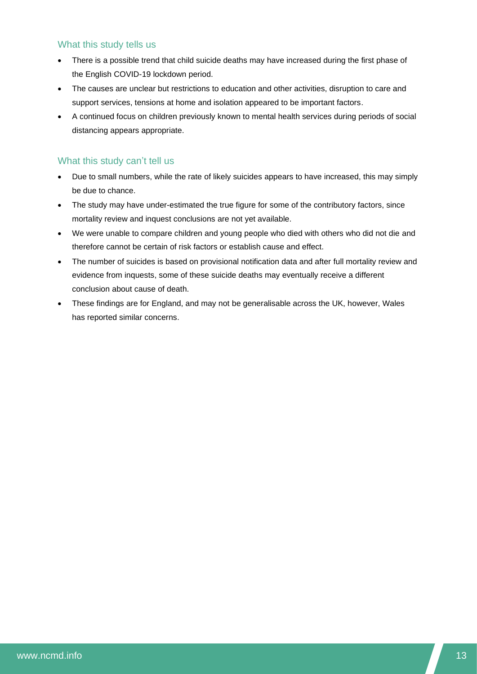## <span id="page-12-0"></span>What this study tells us

- There is a possible trend that child suicide deaths may have increased during the first phase of the English COVID-19 lockdown period.
- The causes are unclear but restrictions to education and other activities, disruption to care and support services, tensions at home and isolation appeared to be important factors.
- A continued focus on children previously known to mental health services during periods of social distancing appears appropriate.

## <span id="page-12-1"></span>What this study can't tell us

- Due to small numbers, while the rate of likely suicides appears to have increased, this may simply be due to chance.
- The study may have under-estimated the true figure for some of the contributory factors, since mortality review and inquest conclusions are not yet available.
- We were unable to compare children and young people who died with others who did not die and therefore cannot be certain of risk factors or establish cause and effect.
- The number of suicides is based on provisional notification data and after full mortality review and evidence from inquests, some of these suicide deaths may eventually receive a different conclusion about cause of death.
- These findings are for England, and may not be generalisable across the UK, however, Wales has reported similar concerns.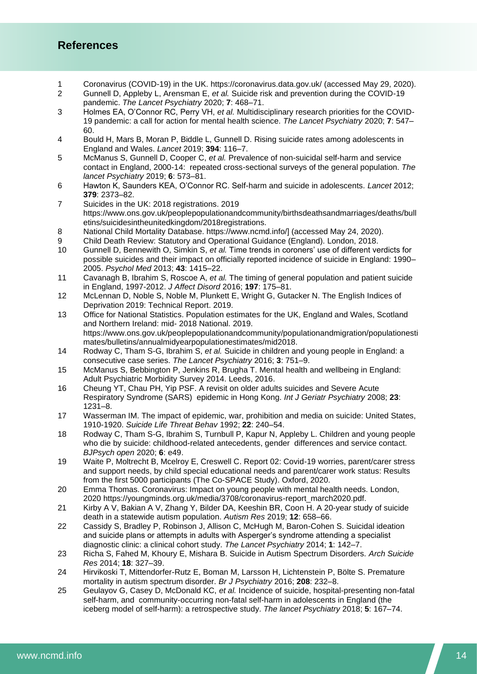# <span id="page-13-0"></span>**References**

- 1 Coronavirus (COVID-19) in the UK. https://coronavirus.data.gov.uk/ (accessed May 29, 2020).<br>2 Gunnell D. Appleby L. Arensman E. *et al.* Suicide risk and prevention during the COVID-19
- 2 Gunnell D, Appleby L, Arensman E, *et al.* Suicide risk and prevention during the COVID-19 pandemic. *The Lancet Psychiatry* 2020; **7**: 468–71.
- 3 Holmes EA, O'Connor RC, Perry VH, *et al.* Multidisciplinary research priorities for the COVID-19 pandemic: a call for action for mental health science. *The Lancet Psychiatry* 2020; **7**: 547– 60.
- 4 Bould H, Mars B, Moran P, Biddle L, Gunnell D. Rising suicide rates among adolescents in England and Wales. *Lancet* 2019; **394**: 116–7.
- 5 McManus S, Gunnell D, Cooper C, *et al.* Prevalence of non-suicidal self-harm and service contact in England, 2000-14: repeated cross-sectional surveys of the general population. *The lancet Psychiatry* 2019; **6**: 573–81.
- 6 Hawton K, Saunders KEA, O'Connor RC. Self-harm and suicide in adolescents. *Lancet* 2012; **379**: 2373–82.
- 7 Suicides in the UK: 2018 registrations. 2019 https://www.ons.gov.uk/peoplepopulationandcommunity/birthsdeathsandmarriages/deaths/bull etins/suicidesintheunitedkingdom/2018registrations.
- 8 National Child Mortality Database. https://www.ncmd.info/] (accessed May 24, 2020).
- 9 Child Death Review: Statutory and Operational Guidance (England). London, 2018.<br>10 Gunnell D. Bennewith O. Simkin S. et al. Time trends in coroners' use of different ve
- 10 Gunnell D, Bennewith O, Simkin S, *et al.* Time trends in coroners' use of different verdicts for possible suicides and their impact on officially reported incidence of suicide in England: 1990– 2005. *Psychol Med* 2013; **43**: 1415–22.
- 11 Cavanagh B, Ibrahim S, Roscoe A, *et al.* The timing of general population and patient suicide in England, 1997-2012. *J Affect Disord* 2016; **197**: 175–81.
- 12 McLennan D, Noble S, Noble M, Plunkett E, Wright G, Gutacker N. The English Indices of Deprivation 2019: Technical Report. 2019.
- 13 Office for National Statistics. Population estimates for the UK, England and Wales, Scotland and Northern Ireland: mid- 2018 National. 2019. https://www.ons.gov.uk/peoplepopulationandcommunity/populationandmigration/populationesti mates/bulletins/annualmidyearpopulationestimates/mid2018.
- 14 Rodway C, Tham S-G, Ibrahim S, *et al.* Suicide in children and young people in England: a consecutive case series. *The Lancet Psychiatry* 2016; **3**: 751–9.
- 15 McManus S, Bebbington P, Jenkins R, Brugha T. Mental health and wellbeing in England: Adult Psychiatric Morbidity Survey 2014. Leeds, 2016.
- 16 Cheung YT, Chau PH, Yip PSF. A revisit on older adults suicides and Severe Acute Respiratory Syndrome (SARS) epidemic in Hong Kong. *Int J Geriatr Psychiatry* 2008; **23**: 1231–8.
- 17 Wasserman IM. The impact of epidemic, war, prohibition and media on suicide: United States, 1910-1920. *Suicide Life Threat Behav* 1992; **22**: 240–54.
- 18 Rodway C, Tham S-G, Ibrahim S, Turnbull P, Kapur N, Appleby L. Children and young people who die by suicide: childhood-related antecedents, gender differences and service contact. *BJPsych open* 2020; **6**: e49.
- 19 Waite P, Moltrecht B, Mcelroy E, Creswell C. Report 02: Covid-19 worries, parent/carer stress and support needs, by child special educational needs and parent/carer work status: Results from the first 5000 participants (The Co-SPACE Study). Oxford, 2020.
- 20 Emma Thomas. Coronavirus: Impact on young people with mental health needs. London, 2020 https://youngminds.org.uk/media/3708/coronavirus-report\_march2020.pdf.
- 21 Kirby A V, Bakian A V, Zhang Y, Bilder DA, Keeshin BR, Coon H. A 20-year study of suicide death in a statewide autism population. *Autism Res* 2019; **12**: 658–66.
- 22 Cassidy S, Bradley P, Robinson J, Allison C, McHugh M, Baron-Cohen S. Suicidal ideation and suicide plans or attempts in adults with Asperger's syndrome attending a specialist diagnostic clinic: a clinical cohort study. *The Lancet Psychiatry* 2014; **1**: 142–7.
- 23 Richa S, Fahed M, Khoury E, Mishara B. Suicide in Autism Spectrum Disorders. *Arch Suicide Res* 2014; **18**: 327–39.
- 24 Hirvikoski T, Mittendorfer-Rutz E, Boman M, Larsson H, Lichtenstein P, Bölte S. Premature mortality in autism spectrum disorder. *Br J Psychiatry* 2016; **208**: 232–8.
- 25 Geulayov G, Casey D, McDonald KC, *et al.* Incidence of suicide, hospital-presenting non-fatal self-harm, and community-occurring non-fatal self-harm in adolescents in England (the iceberg model of self-harm): a retrospective study. *The lancet Psychiatry* 2018; **5**: 167–74.